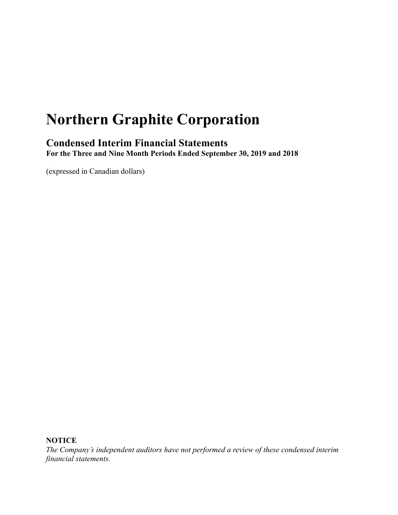# **Northern Graphite Corporation**

# **Condensed Interim Financial Statements For the Three and Nine Month Periods Ended September 30, 2019 and 2018**

(expressed in Canadian dollars)

**NOTICE**

*The Company's independent auditors have not performed a review of these condensed interim financial statements.*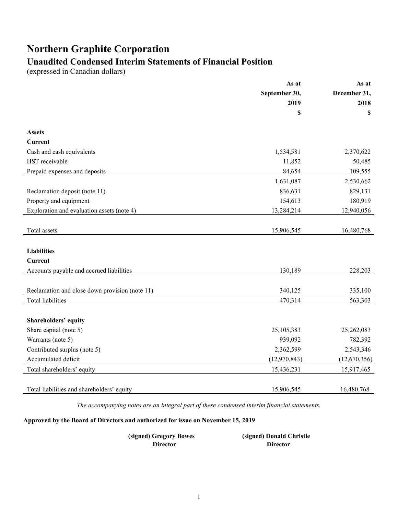# **Northern Graphite Corporation**

# **Unaudited Condensed Interim Statements of Financial Position**

(expressed in Canadian dollars)

|                                                | As at          | As at        |
|------------------------------------------------|----------------|--------------|
|                                                | September 30,  | December 31, |
|                                                | 2019           | 2018         |
|                                                | \$             | \$           |
| <b>Assets</b>                                  |                |              |
| Current                                        |                |              |
| Cash and cash equivalents                      | 1,534,581      | 2,370,622    |
| HST receivable                                 | 11,852         | 50,485       |
| Prepaid expenses and deposits                  | 84,654         | 109,555      |
|                                                | 1,631,087      | 2,530,662    |
| Reclamation deposit (note 11)                  | 836,631        | 829,131      |
| Property and equipment                         | 154,613        | 180,919      |
| Exploration and evaluation assets (note 4)     | 13,284,214     | 12,940,056   |
|                                                |                |              |
| Total assets                                   | 15,906,545     | 16,480,768   |
|                                                |                |              |
| <b>Liabilities</b>                             |                |              |
| Current                                        |                |              |
| Accounts payable and accrued liabilities       | 130,189        | 228,203      |
|                                                |                |              |
| Reclamation and close down provision (note 11) | 340,125        | 335,100      |
| Total liabilities                              | 470,314        | 563,303      |
|                                                |                |              |
| Shareholders' equity                           |                |              |
| Share capital (note 5)                         | 25,105,383     | 25,262,083   |
| Warrants (note 5)                              | 939,092        | 782,392      |
| Contributed surplus (note 5)                   | 2,362,599      | 2,543,346    |
| Accumulated deficit                            | (12, 970, 843) | (12,670,356) |
| Total shareholders' equity                     | 15,436,231     | 15,917,465   |
|                                                |                |              |
| Total liabilities and shareholders' equity     | 15,906,545     | 16,480,768   |

*The accompanying notes are an integral part of these condensed interim financial statements.*

# **Approved by the Board of Directors and authorized for issue on November 15, 2019**

| (signed) Gregory Bowes | (signed) Donald Christie |
|------------------------|--------------------------|
| <b>Director</b>        | <b>Director</b>          |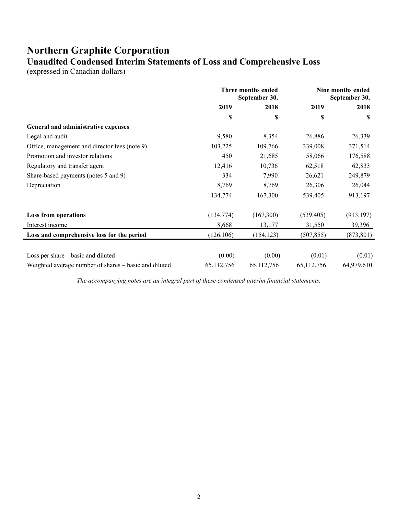# **Northern Graphite Corporation Unaudited Condensed Interim Statements of Loss and Comprehensive Loss**

(expressed in Canadian dollars)

|                                                       | Three months ended<br>September 30, |            | Nine months ended<br>September 30, |            |
|-------------------------------------------------------|-------------------------------------|------------|------------------------------------|------------|
|                                                       | 2019                                | 2018       | 2019                               | 2018       |
|                                                       | \$                                  | \$         | \$                                 | \$         |
| General and administrative expenses                   |                                     |            |                                    |            |
| Legal and audit                                       | 9,580                               | 8,354      | 26,886                             | 26,339     |
| Office, management and director fees (note 9)         | 103,225                             | 109,766    | 339,008                            | 371,514    |
| Promotion and investor relations                      | 450                                 | 21,685     | 58,066                             | 176,588    |
| Regulatory and transfer agent                         | 12,416                              | 10,736     | 62,518                             | 62,833     |
| Share-based payments (notes 5 and 9)                  | 334                                 | 7,990      | 26,621                             | 249,879    |
| Depreciation                                          | 8,769                               | 8,769      | 26,306                             | 26,044     |
|                                                       | 134,774                             | 167,300    | 539,405                            | 913,197    |
| <b>Loss from operations</b>                           | (134, 774)                          | (167,300)  | (539, 405)                         | (913, 197) |
| Interest income                                       | 8,668                               | 13,177     | 31,550                             | 39,396     |
| Loss and comprehensive loss for the period            | (126, 106)                          | (154, 123) | (507, 855)                         | (873, 801) |
| Loss per share – basic and diluted                    | (0.00)                              | (0.00)     | (0.01)                             | (0.01)     |
| Weighted average number of shares – basic and diluted | 65,112,756                          | 65,112,756 | 65,112,756                         | 64,979,610 |

*The accompanying notes are an integral part of these condensed interim financial statements.*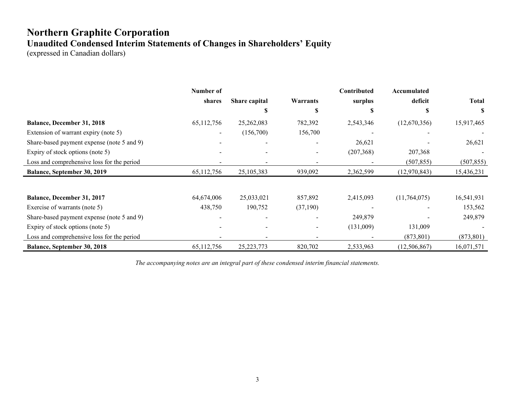# **Northern Graphite Corporation Unaudited Condensed Interim Statements of Changes in Shareholders' Equity**

(expressed in Canadian dollars)

|                                            | Number of                |               |                              | Contributed | Accumulated    |              |
|--------------------------------------------|--------------------------|---------------|------------------------------|-------------|----------------|--------------|
|                                            | shares                   | Share capital | <b>Warrants</b>              | surplus     | deficit        | <b>Total</b> |
|                                            |                          |               | S                            |             |                | S            |
| Balance, December 31, 2018                 | 65,112,756               | 25,262,083    | 782,392                      | 2,543,346   | (12,670,356)   | 15,917,465   |
| Extension of warrant expiry (note 5)       | $\overline{\phantom{a}}$ | (156,700)     | 156,700                      |             |                |              |
| Share-based payment expense (note 5 and 9) |                          |               |                              | 26,621      |                | 26,621       |
| Expiry of stock options (note 5)           |                          |               |                              | (207, 368)  | 207,368        |              |
| Loss and comprehensive loss for the period |                          |               | $\qquad \qquad \blacksquare$ |             | (507, 855)     | (507, 855)   |
| <b>Balance, September 30, 2019</b>         | 65,112,756               | 25,105,383    | 939,092                      | 2,362,599   | (12,970,843)   | 15,436,231   |
|                                            |                          |               |                              |             |                |              |
| Balance, December 31, 2017                 | 64,674,006               | 25,033,021    | 857,892                      | 2,415,093   | (11,764,075)   | 16,541,931   |
| Exercise of warrants (note 5)              | 438,750                  | 190,752       | (37,190)                     |             |                | 153,562      |
| Share-based payment expense (note 5 and 9) |                          |               |                              | 249,879     |                | 249,879      |
| Expiry of stock options (note 5)           |                          |               |                              | (131,009)   | 131,009        |              |
| Loss and comprehensive loss for the period |                          |               | ۰                            |             | (873, 801)     | (873, 801)   |
| Balance, September 30, 2018                | 65,112,756               | 25, 223, 773  | 820,702                      | 2,533,963   | (12, 506, 867) | 16,071,571   |

*The accompanying notes are an integral part of these condensed interim financial statements.*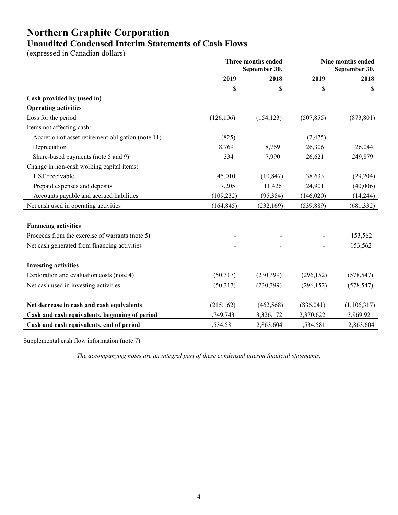# **Northern Graphite Corporation Unaudited Condensed Interim Statements of Cash Flows**

(expressed in Canadian dollars)

|                                                    | Three months ended<br>September 30, |            |            | Nine months ended<br>September 30, |
|----------------------------------------------------|-------------------------------------|------------|------------|------------------------------------|
|                                                    | 2019                                | 2018       | 2019       | 2018                               |
|                                                    | \$                                  | \$         | \$         | S                                  |
| Cash provided by (used in)                         |                                     |            |            |                                    |
| <b>Operating activities</b>                        |                                     |            |            |                                    |
| Loss for the period                                | (126, 106)                          | (154, 123) | (507, 855) | (873, 801)                         |
| Items not affecting cash:                          |                                     |            |            |                                    |
| Accretion of asset retirement obligation (note 11) | (825)                               |            | (2, 475)   |                                    |
| Depreciation                                       | 8,769                               | 8,769      | 26,306     | 26,044                             |
| Share-based payments (note 5 and 9)                | 334                                 | 7,990      | 26,621     | 249,879                            |
| Change in non-cash working capital items:          |                                     |            |            |                                    |
| HST receivable                                     | 45,010                              | (10, 847)  | 38,633     | (29, 204)                          |
| Prepaid expenses and deposits                      | 17,205                              | 11,426     | 24,901     | (40,006)                           |
| Accounts payable and accrued liabilities           | (109, 232)                          | (95, 384)  | (146, 020) | (14, 244)                          |
| Net cash used in operating activities              | (164, 845)                          | (232, 169) | (539, 889) | (681, 332)                         |
| <b>Financing activities</b>                        |                                     |            |            |                                    |
| Proceeds from the exercise of warrants (note 5)    |                                     |            |            | 153,562                            |
| Net cash generated from financing activities       |                                     |            |            | 153,562                            |
| <b>Investing activities</b>                        |                                     |            |            |                                    |
| Exploration and evaluation costs (note 4)          | (50,317)                            | (230, 399) | (296, 152) | (578, 547)                         |
| Net cash used in investing activities              | (50, 317)                           | (230, 399) | (296, 152) | (578, 547)                         |
|                                                    |                                     |            |            |                                    |
| Net decrease in cash and cash equivalents          | (215, 162)                          | (462, 568) | (836, 041) | (1,106,317)                        |
| Cash and cash equivalents, beginning of period     | 1,749,743                           | 3,326,172  | 2,370,622  | 3,969,921                          |
| Cash and cash equivalents, end of period           | 1,534,581                           | 2,863,604  | 1,534,581  | 2,863,604                          |

Supplemental cash flow information (note 7)

*The accompanying notes are an integral part of these condensed interim financial statements.*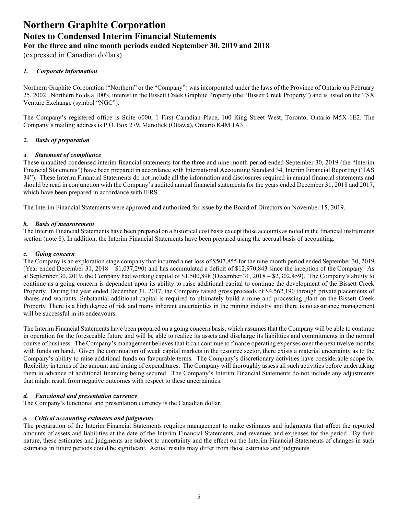(expressed in Canadian dollars)

# *1. Corporate information*

Northern Graphite Corporation ("Northern" or the "Company") was incorporated under the laws of the Province of Ontario on February 25, 2002. Northern holds a 100% interest in the Bissett Creek Graphite Property (the "Bissett Creek Property") and is listed on the TSX Venture Exchange (symbol "NGC").

The Company's registered office is Suite 6000, 1 First Canadian Place, 100 King Street West, Toronto, Ontario M5X 1E2. The Company's mailing address is P.O. Box 279, Manotick (Ottawa), Ontario K4M 1A3.

# *2. Basis of preparation*

# a. *Statement of compliance*

These unaudited condensed interim financial statements for the three and nine month period ended September 30, 2019 (the "Interim Financial Statements") have been prepared in accordance with International Accounting Standard 34, Interim Financial Reporting ("IAS 34"). These Interim Financial Statements do not include all the information and disclosures required in annual financial statements and should be read in conjunction with the Company's audited annual financial statements for the years ended December 31, 2018 and 2017, which have been prepared in accordance with IFRS.

The Interim Financial Statements were approved and authorized for issue by the Board of Directors on November 15, 2019.

# *b. Basis of measurement*

The Interim Financial Statements have been prepared on a historical cost basis except those accounts as noted in the financial instruments section (note 8). In addition, the Interim Financial Statements have been prepared using the accrual basis of accounting.

#### *c. Going concern*

The Company is an exploration stage company that incurred a net loss of \$507,855 for the nine month period ended September 30, 2019 (Year ended December 31, 2018 – \$1,037,290) and has accumulated a deficit of \$12,970,843 since the inception of the Company. As at September 30, 2019, the Company had working capital of \$1,500,898 (December 31, 2018 – \$2,302,459). The Company's ability to continue as a going concern is dependent upon its ability to raise additional capital to continue the development of the Bissett Creek Property. During the year ended December 31, 2017, the Company raised gross proceeds of \$4,562,190 through private placements of shares and warrants. Substantial additional capital is required to ultimately build a mine and processing plant on the Bissett Creek Property. There is a high degree of risk and many inherent uncertainties in the mining industry and there is no assurance management will be successful in its endeavours.

The Interim Financial Statements have been prepared on a going concern basis, which assumes that the Company will be able to continue in operation for the foreseeable future and will be able to realize its assets and discharge its liabilities and commitments in the normal course of business. The Company's management believes that it can continue to finance operating expenses over the next twelve months with funds on hand. Given the continuation of weak capital markets in the resource sector, there exists a material uncertainty as to the Company's ability to raise additional funds on favourable terms. The Company's discretionary activities have considerable scope for flexibility in terms of the amount and timing of expenditures. The Company will thoroughly assess all such activities before undertaking them in advance of additional financing being secured. The Company's Interim Financial Statements do not include any adjustments that might result from negative outcomes with respect to these uncertainties.

# *d. Functional and presentation currency*

The Company's functional and presentation currency is the Canadian dollar.

# *e. Critical accounting estimates and judgments*

The preparation of the Interim Financial Statements requires management to make estimates and judgments that affect the reported amounts of assets and liabilities at the date of the Interim Financial Statements, and revenues and expenses for the period. By their nature, these estimates and judgments are subject to uncertainty and the effect on the Interim Financial Statements of changes in such estimates in future periods could be significant. Actual results may differ from those estimates and judgments.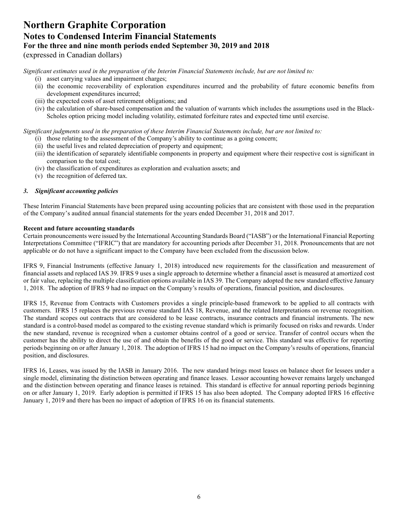# **Northern Graphite Corporation Notes to Condensed Interim Financial Statements For the three and nine month periods ended September 30, 2019 and 2018** (expressed in Canadian dollars)

*Significant estimates used in the preparation of the Interim Financial Statements include, but are not limited to:* 

- (i) asset carrying values and impairment charges;
- (ii) the economic recoverability of exploration expenditures incurred and the probability of future economic benefits from development expenditures incurred;
- (iii) the expected costs of asset retirement obligations; and
- (iv) the calculation of share-based compensation and the valuation of warrants which includes the assumptions used in the Black-Scholes option pricing model including volatility, estimated forfeiture rates and expected time until exercise.

*Significant judgments used in the preparation of these Interim Financial Statements include, but are not limited to:* 

- (i) those relating to the assessment of the Company's ability to continue as a going concern;
- (ii) the useful lives and related depreciation of property and equipment;
- (iii) the identification of separately identifiable components in property and equipment where their respective cost is significant in comparison to the total cost;
- (iv) the classification of expenditures as exploration and evaluation assets; and
- (v) the recognition of deferred tax.

# *3. Significant accounting policies*

These Interim Financial Statements have been prepared using accounting policies that are consistent with those used in the preparation of the Company's audited annual financial statements for the years ended December 31, 2018 and 2017.

# **Recent and future accounting standards**

Certain pronouncements were issued by the International Accounting Standards Board ("IASB") or the International Financial Reporting Interpretations Committee ("IFRIC") that are mandatory for accounting periods after December 31, 2018. Pronouncements that are not applicable or do not have a significant impact to the Company have been excluded from the discussion below.

IFRS 9, Financial Instruments (effective January 1, 2018) introduced new requirements for the classification and measurement of financial assets and replaced IAS 39. IFRS 9 uses a single approach to determine whether a financial asset is measured at amortized cost or fair value, replacing the multiple classification options available in IAS 39. The Company adopted the new standard effective January 1, 2018. The adoption of IFRS 9 had no impact on the Company's results of operations, financial position, and disclosures.

IFRS 15, Revenue from Contracts with Customers provides a single principle-based framework to be applied to all contracts with customers. IFRS 15 replaces the previous revenue standard IAS 18, Revenue, and the related Interpretations on revenue recognition. The standard scopes out contracts that are considered to be lease contracts, insurance contracts and financial instruments. The new standard is a control-based model as compared to the existing revenue standard which is primarily focused on risks and rewards. Under the new standard, revenue is recognized when a customer obtains control of a good or service. Transfer of control occurs when the customer has the ability to direct the use of and obtain the benefits of the good or service. This standard was effective for reporting periods beginning on or after January 1, 2018. The adoption of IFRS 15 had no impact on the Company's results of operations, financial position, and disclosures.

IFRS 16, Leases, was issued by the IASB in January 2016. The new standard brings most leases on balance sheet for lessees under a single model, eliminating the distinction between operating and finance leases. Lessor accounting however remains largely unchanged and the distinction between operating and finance leases is retained. This standard is effective for annual reporting periods beginning on or after January 1, 2019. Early adoption is permitted if IFRS 15 has also been adopted. The Company adopted IFRS 16 effective January 1, 2019 and there has been no impact of adoption of IFRS 16 on its financial statements.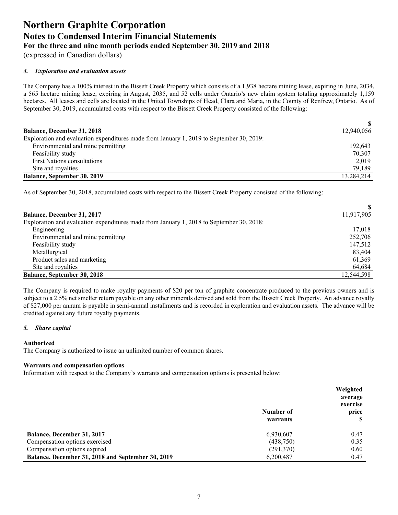(expressed in Canadian dollars)

# *4. Exploration and evaluation assets*

The Company has a 100% interest in the Bissett Creek Property which consists of a 1,938 hectare mining lease, expiring in June, 2034, a 565 hectare mining lease, expiring in August, 2035, and 52 cells under Ontario's new claim system totaling approximately 1,159 hectares. All leases and cells are located in the United Townships of Head, Clara and Maria, in the County of Renfrew, Ontario. As of September 30, 2019, accumulated costs with respect to the Bissett Creek Property consisted of the following:

|                                                                                          | SS.        |
|------------------------------------------------------------------------------------------|------------|
| <b>Balance, December 31, 2018</b>                                                        | 12,940,056 |
| Exploration and evaluation expenditures made from January 1, 2019 to September 30, 2019: |            |
| Environmental and mine permitting                                                        | 192.643    |
| Feasibility study                                                                        | 70.307     |
| <b>First Nations consultations</b>                                                       | 2.019      |
| Site and royalties                                                                       | 79,189     |
| Balance, September 30, 2019                                                              | 13,284,214 |

As of September 30, 2018, accumulated costs with respect to the Bissett Creek Property consisted of the following:

| <b>Balance, December 31, 2017</b>                                                        | 11,917,905 |
|------------------------------------------------------------------------------------------|------------|
| Exploration and evaluation expenditures made from January 1, 2018 to September 30, 2018: |            |
| Engineering                                                                              | 17,018     |
| Environmental and mine permitting                                                        | 252,706    |
| Feasibility study                                                                        | 147,512    |
| Metallurgical                                                                            | 83,404     |
| Product sales and marketing                                                              | 61,369     |
| Site and royalties                                                                       | 64,684     |
| Balance, September 30, 2018                                                              | 12,544,598 |

The Company is required to make royalty payments of \$20 per ton of graphite concentrate produced to the previous owners and is subject to a 2.5% net smelter return payable on any other minerals derived and sold from the Bissett Creek Property. An advance royalty of \$27,000 per annum is payable in semi-annual installments and is recorded in exploration and evaluation assets. The advance will be credited against any future royalty payments.

# *5. Share capital*

# **Authorized**

The Company is authorized to issue an unlimited number of common shares.

#### **Warrants and compensation options**

Information with respect to the Company's warrants and compensation options is presented below:

|                                                   | Number of<br>warrants | Weighted<br>average<br>exercise<br>price |
|---------------------------------------------------|-----------------------|------------------------------------------|
| <b>Balance, December 31, 2017</b>                 | 6,930,607             | 0.47                                     |
| Compensation options exercised                    | (438,750)             | 0.35                                     |
| Compensation options expired                      | (291, 370)            | 0.60                                     |
| Balance, December 31, 2018 and September 30, 2019 | 6,200,487             | 0.47                                     |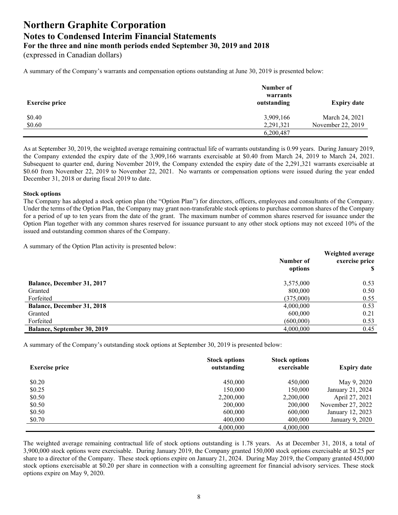(expressed in Canadian dollars)

A summary of the Company's warrants and compensation options outstanding at June 30, 2019 is presented below:

| <b>Exercise price</b> | Number of<br>warrants<br>outstanding | <b>Expiry date</b>                  |
|-----------------------|--------------------------------------|-------------------------------------|
| \$0.40<br>\$0.60      | 3,909,166<br>2,291,321               | March 24, 2021<br>November 22, 2019 |
|                       | 6,200,487                            |                                     |

As at September 30, 2019, the weighted average remaining contractual life of warrants outstanding is 0.99 years. During January 2019, the Company extended the expiry date of the 3,909,166 warrants exercisable at \$0.40 from March 24, 2019 to March 24, 2021. Subsequent to quarter end, during November 2019, the Company extended the expiry date of the 2,291,321 warrants exercisable at \$0.60 from November 22, 2019 to November 22, 2021. No warrants or compensation options were issued during the year ended December 31, 2018 or during fiscal 2019 to date.

#### **Stock options**

The Company has adopted a stock option plan (the "Option Plan") for directors, officers, employees and consultants of the Company. Under the terms of the Option Plan, the Company may grant non-transferable stock options to purchase common shares of the Company for a period of up to ten years from the date of the grant. The maximum number of common shares reserved for issuance under the Option Plan together with any common shares reserved for issuance pursuant to any other stock options may not exceed 10% of the issued and outstanding common shares of the Company.

A summary of the Option Plan activity is presented below:

|                                    | Number of<br>options | Weighted average<br>exercise price |
|------------------------------------|----------------------|------------------------------------|
| <b>Balance, December 31, 2017</b>  | 3,575,000            | 0.53                               |
| Granted                            | 800,000              | 0.50                               |
| Forfeited                          | (375,000)            | 0.55                               |
| <b>Balance, December 31, 2018</b>  | 4,000,000            | 0.53                               |
| Granted                            | 600,000              | 0.21                               |
| Forfeited                          | (600,000)            | 0.53                               |
| <b>Balance, September 30, 2019</b> | 4,000,000            | 0.45                               |

A summary of the Company's outstanding stock options at September 30, 2019 is presented below:

| <b>Exercise price</b> | <b>Stock options</b><br>outstanding | <b>Stock options</b><br>exercisable | <b>Expiry date</b> |
|-----------------------|-------------------------------------|-------------------------------------|--------------------|
| \$0.20                | 450,000                             | 450,000                             | May 9, 2020        |
| \$0.25                | 150,000                             | 150.000                             | January 21, 2024   |
| \$0.50                | 2,200,000                           | 2,200,000                           | April 27, 2021     |
| \$0.50                | 200,000                             | 200,000                             | November 27, 2022  |
| \$0.50                | 600,000                             | 600,000                             | January 12, 2023   |
| \$0.70                | 400,000                             | 400,000                             | January 9, 2020    |
|                       | 4,000,000                           | 4,000,000                           |                    |

The weighted average remaining contractual life of stock options outstanding is 1.78 years. As at December 31, 2018, a total of 3,900,000 stock options were exercisable. During January 2019, the Company granted 150,000 stock options exercisable at \$0.25 per share to a director of the Company. These stock options expire on January 21, 2024. During May 2019, the Company granted 450,000 stock options exercisable at \$0.20 per share in connection with a consulting agreement for financial advisory services. These stock options expire on May 9, 2020.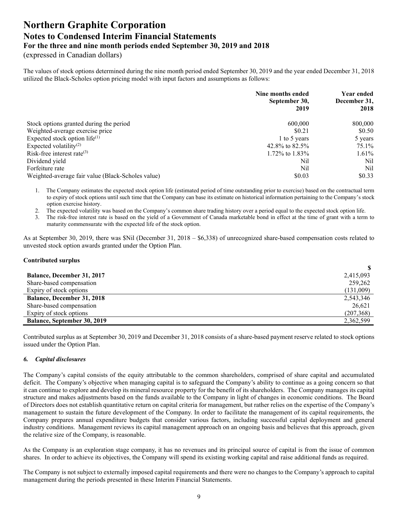(expressed in Canadian dollars)

The values of stock options determined during the nine month period ended September 30, 2019 and the year ended December 31, 2018 utilized the Black-Scholes option pricing model with input factors and assumptions as follows:

|                                                   | Nine months ended<br>September 30,<br>2019 | Year ended<br>December 31,<br>2018 |
|---------------------------------------------------|--------------------------------------------|------------------------------------|
| Stock options granted during the period           | 600,000                                    | 800,000                            |
| Weighted-average exercise price                   | \$0.21                                     | \$0.50                             |
| Expected stock option $life^{(1)}$                | 1 to 5 years                               | 5 years                            |
| Expected volatility <sup>(2)</sup>                | 42.8% to $82.5\%$                          | 75.1%                              |
| Risk-free interest rate $(3)$                     | 1.72\% to 1.83\%                           | 1.61%                              |
| Dividend yield                                    | Nil                                        | Nil                                |
| Forfeiture rate                                   | Nil                                        | Nil                                |
| Weighted-average fair value (Black-Scholes value) | \$0.03                                     | \$0.33                             |

1. The Company estimates the expected stock option life (estimated period of time outstanding prior to exercise) based on the contractual term to expiry of stock options until such time that the Company can base its estimate on historical information pertaining to the Company's stock option exercise history.

2. The expected volatility was based on the Company's common share trading history over a period equal to the expected stock option life.

3. The risk-free interest rate is based on the yield of a Government of Canada marketable bond in effect at the time of grant with a term to maturity commensurate with the expected life of the stock option.

As at September 30, 2019, there was \$Nil (December 31, 2018 – \$6,338) of unrecognized share-based compensation costs related to unvested stock option awards granted under the Option Plan.

### **Contributed surplus**

| <b>Balance, December 31, 2017</b>  | 2,415,093  |
|------------------------------------|------------|
| Share-based compensation           | 259,262    |
| Expiry of stock options            | (131,009)  |
| <b>Balance, December 31, 2018</b>  | 2,543,346  |
| Share-based compensation           | 26,621     |
| Expiry of stock options            | (207, 368) |
| <b>Balance, September 30, 2019</b> | 2,362,599  |

Contributed surplus as at September 30, 2019 and December 31, 2018 consists of a share-based payment reserve related to stock options issued under the Option Plan.

# *6. Capital disclosures*

The Company's capital consists of the equity attributable to the common shareholders, comprised of share capital and accumulated deficit. The Company's objective when managing capital is to safeguard the Company's ability to continue as a going concern so that it can continue to explore and develop its mineral resource property for the benefit of its shareholders. The Company manages its capital structure and makes adjustments based on the funds available to the Company in light of changes in economic conditions. The Board of Directors does not establish quantitative return on capital criteria for management, but rather relies on the expertise of the Company's management to sustain the future development of the Company. In order to facilitate the management of its capital requirements, the Company prepares annual expenditure budgets that consider various factors, including successful capital deployment and general industry conditions. Management reviews its capital management approach on an ongoing basis and believes that this approach, given the relative size of the Company, is reasonable.

As the Company is an exploration stage company, it has no revenues and its principal source of capital is from the issue of common shares. In order to achieve its objectives, the Company will spend its existing working capital and raise additional funds as required.

The Company is not subject to externally imposed capital requirements and there were no changes to the Company's approach to capital management during the periods presented in these Interim Financial Statements.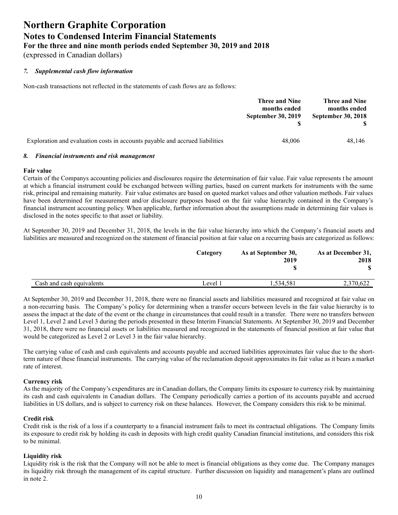(expressed in Canadian dollars)

# *7. Supplemental cash flow information*

Non-cash transactions not reflected in the statements of cash flows are as follows:

|                                                                              | Three and Nine<br>months ended<br><b>September 30, 2019</b> | <b>Three and Nine</b><br>months ended<br>September 30, 2018 |
|------------------------------------------------------------------------------|-------------------------------------------------------------|-------------------------------------------------------------|
| Exploration and evaluation costs in accounts payable and accrued liabilities | 48,006                                                      | 48.146                                                      |

#### *8. Financial instruments and risk management*

#### **Fair value**

Certain of the Companys accounting policies and disclosures require the determination of fair value. Fair value represents t he amount at which a financial instrument could be exchanged between willing parties, based on current markets for instruments with the same risk, principal and remaining maturity. Fair value estimates are based on quoted market values and other valuation methods. Fair values have been determined for measurement and/or disclosure purposes based on the fair value hierarchy contained in the Company's financial instrument accounting policy. When applicable, further information about the assumptions made in determining fair values is disclosed in the notes specific to that asset or liability.

At September 30, 2019 and December 31, 2018, the levels in the fair value hierarchy into which the Company's financial assets and liabilities are measured and recognized on the statement of financial position at fair value on a recurring basis are categorized as follows:

|                           | Category | As at September 30,<br>2019 | As at December 31,<br>2018 |
|---------------------------|----------|-----------------------------|----------------------------|
|                           |          |                             |                            |
| Cash and cash equivalents | Level 1  | .534,581                    | 2,370,622                  |

At September 30, 2019 and December 31, 2018, there were no financial assets and liabilities measured and recognized at fair value on a non-recurring basis. The Company's policy for determining when a transfer occurs between levels in the fair value hierarchy is to assess the impact at the date of the event or the change in circumstances that could result in a transfer. There were no transfers between Level 1, Level 2 and Level 3 during the periods presented in these Interim Financial Statements. At September 30, 2019 and December 31, 2018, there were no financial assets or liabilities measured and recognized in the statements of financial position at fair value that would be categorized as Level 2 or Level 3 in the fair value hierarchy.

The carrying value of cash and cash equivalents and accounts payable and accrued liabilities approximates fair value due to the shortterm nature of these financial instruments. The carrying value of the reclamation deposit approximates its fair value as it bears a market rate of interest.

# **Currency risk**

As the majority of the Company's expenditures are in Canadian dollars, the Company limits its exposure to currency risk by maintaining its cash and cash equivalents in Canadian dollars. The Company periodically carries a portion of its accounts payable and accrued liabilities in US dollars, and is subject to currency risk on these balances. However, the Company considers this risk to be minimal.

# **Credit risk**

Credit risk is the risk of a loss if a counterparty to a financial instrument fails to meet its contractual obligations. The Company limits its exposure to credit risk by holding its cash in deposits with high credit quality Canadian financial institutions, and considers this risk to be minimal.

# **Liquidity risk**

Liquidity risk is the risk that the Company will not be able to meet is financial obligations as they come due. The Company manages its liquidity risk through the management of its capital structure. Further discussion on liquidity and management's plans are outlined in note 2.